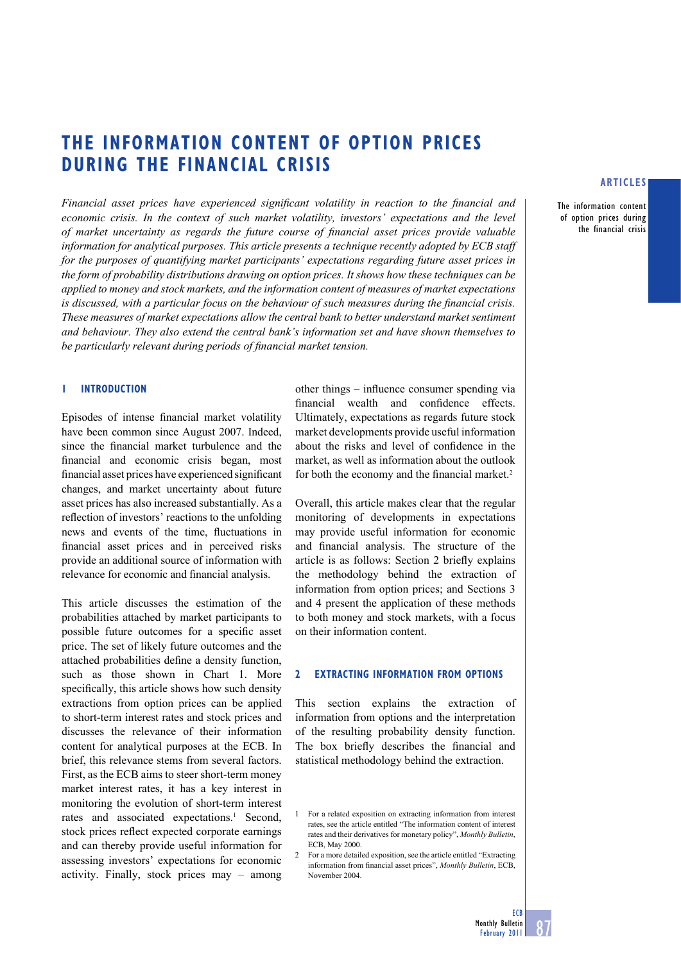# **THE INFORMATION CONTENT OF OPTION PRICES DURING THE FINANCIAL CRISIS**

*Financial asset prices have experienced significant volatility in reaction to the financial and economic crisis. In the context of such market volatility, investors' expectations and the level of market uncertainty as regards the future course of financial asset prices provide valuable information for analytical purposes. This article presents a technique recently adopted by ECB staff for the purposes of quantifying market participants' expectations regarding future asset prices in the form of probability distributions drawing on option prices. It shows how these techniques can be applied to money and stock markets, and the information content of measures of market expectations is discussed, with a particular focus on the behaviour of such measures during the financial crisis. These measures of market expectations allow the central bank to better understand market sentiment and behaviour. They also extend the central bank's information set and have shown themselves to*  be particularly relevant during periods of financial market tension.

### **1 INTRODUCTION**

Episodes of intense financial market volatility have been common since August 2007. Indeed, since the financial market turbulence and the financial and economic crisis began, most financial asset prices have experienced significant changes, and market uncertainty about future asset prices has also increased substantially. As a reflection of investors' reactions to the unfolding news and events of the time, fluctuations in financial asset prices and in perceived risks provide an additional source of information with relevance for economic and financial analysis.

This article discusses the estimation of the probabilities attached by market participants to possible future outcomes for a specific asset price. The set of likely future outcomes and the attached probabilities define a density function, such as those shown in Chart 1. More specifically, this article shows how such density extractions from option prices can be applied to short-term interest rates and stock prices and discusses the relevance of their information content for analytical purposes at the ECB. In brief, this relevance stems from several factors. First, as the ECB aims to steer short-term money market interest rates, it has a key interest in monitoring the evolution of short-term interest rates and associated expectations.<sup>1</sup> Second, stock prices reflect expected corporate earnings and can thereby provide useful information for assessing investors' expectations for economic activity. Finally, stock prices may – among

other things  $-$  influence consumer spending via financial wealth and confidence effects. Ultimately, expectations as regards future stock market developments provide useful information about the risks and level of confidence in the market, as well as information about the outlook for both the economy and the financial market.<sup>2</sup>

Overall, this article makes clear that the regular monitoring of developments in expectations may provide useful information for economic and financial analysis. The structure of the article is as follows: Section 2 briefly explains the methodology behind the extraction of information from option prices; and Sections 3 and 4 present the application of these methods to both money and stock markets, with a focus on their information content.

### **2 EXTRACTING INFORMATION FROM OPTIONS**

This section explains the extraction of information from options and the interpretation of the resulting probability density function. The box briefly describes the financial and statistical methodology behind the extraction.

# **ARTICLES**

The information content of option prices during the financial crisis

<sup>1</sup> For a related exposition on extracting information from interest rates, see the article entitled "The information content of interest rates and their derivatives for monetary policy", *Monthly Bulletin*, ECB, May 2000.

<sup>2</sup> For a more detailed exposition, see the article entitled "Extracting information from financial asset prices", *Monthly Bulletin*, ECB, November 2004.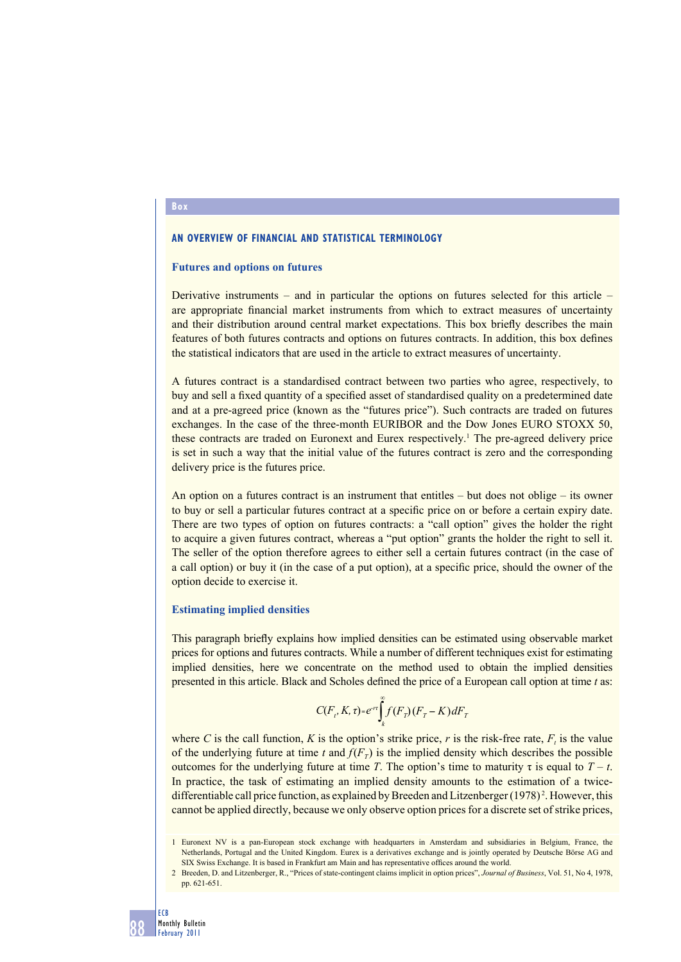### **AN OVERVIEW OF FINANCIAL AND STATISTICAL TERMINOLOGY**

### **Futures and options on futures**

Derivative instruments – and in particular the options on futures selected for this article – are appropriate financial market instruments from which to extract measures of uncertainty and their distribution around central market expectations. This box briefly describes the main features of both futures contracts and options on futures contracts. In addition, this box defines the statistical indicators that are used in the article to extract measures of uncertainty.

A futures contract is a standardised contract between two parties who agree, respectively, to buy and sell a fixed quantity of a specified asset of standardised quality on a predetermined date and at a pre-agreed price (known as the "futures price"). Such contracts are traded on futures exchanges. In the case of the three-month EURIBOR and the Dow Jones EURO STOXX 50, these contracts are traded on Euronext and Eurex respectively.<sup>1</sup> The pre-agreed delivery price is set in such a way that the initial value of the futures contract is zero and the corresponding delivery price is the futures price.

An option on a futures contract is an instrument that entitles – but does not oblige – its owner to buy or sell a particular futures contract at a specific price on or before a certain expiry date. There are two types of option on futures contracts: a "call option" gives the holder the right to acquire a given futures contract, whereas a "put option" grants the holder the right to sell it. The seller of the option therefore agrees to either sell a certain futures contract (in the case of a call option) or buy it (in the case of a put option), at a specific price, should the owner of the option decide to exercise it.

### **Estimating implied densities**

This paragraph briefly explains how implied densities can be estimated using observable market prices for options and futures contracts. While a number of different techniques exist for estimating implied densities, here we concentrate on the method used to obtain the implied densities presented in this article. Black and Scholes defined the price of a European call option at time *t* as:

$$
C(F_r, K, \tau) - e^{-r\tau} \int_{k}^{\infty} f(F_r)(F_r - K) dF_r
$$

where *C* is the call function, *K* is the option's strike price, *r* is the risk-free rate,  $F<sub>t</sub>$  is the value of the underlying future at time *t* and  $f(F_T)$  is the implied density which describes the possible outcomes for the underlying future at time *T*. The option's time to maturity *τ* is equal to  $T - t$ . In practice, the task of estimating an implied density amounts to the estimation of a twicedifferentiable call price function, as explained by Breeden and Litzenberger (1978)<sup>2</sup>. However, this cannot be applied directly, because we only observe option prices for a discrete set of strike prices,

### **Box**



<sup>1</sup> Euronext NV is a pan-European stock exchange with headquarters in Amsterdam and subsidiaries in Belgium, France, the Netherlands, Portugal and the United Kingdom. Eurex is a derivatives exchange and is jointly operated by Deutsche Börse AG and SIX Swiss Exchange. It is based in Frankfurt am Main and has representative offices around the world.

<sup>2</sup> Breeden, D. and Litzenberger, R., "Prices of state-contingent claims implicit in option prices", *Journal of Business*, Vol. 51, No 4, 1978, pp. 621-651.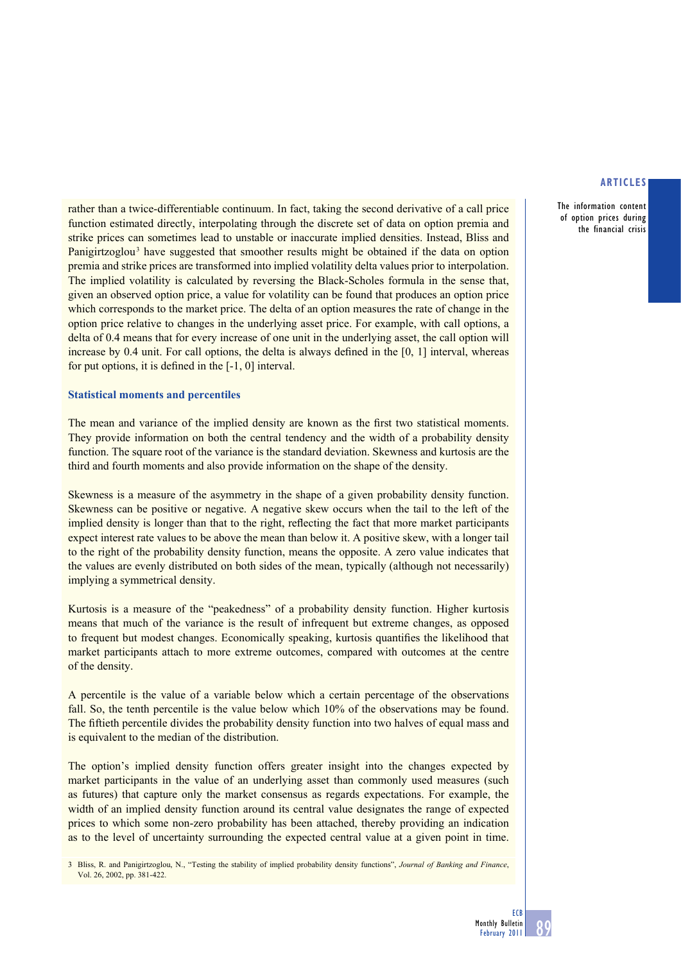The information content of option prices during the financial crisis

rather than a twice-differentiable continuum. In fact, taking the second derivative of a call price function estimated directly, interpolating through the discrete set of data on option premia and strike prices can sometimes lead to unstable or inaccurate implied densities. Instead, Bliss and Panigirtzoglou<sup>3</sup> have suggested that smoother results might be obtained if the data on option premia and strike prices are transformed into implied volatility delta values prior to interpolation. The implied volatility is calculated by reversing the Black-Scholes formula in the sense that, given an observed option price, a value for volatility can be found that produces an option price which corresponds to the market price. The delta of an option measures the rate of change in the option price relative to changes in the underlying asset price. For example, with call options, a delta of 0.4 means that for every increase of one unit in the underlying asset, the call option will increase by  $0.4$  unit. For call options, the delta is always defined in the  $[0, 1]$  interval, whereas for put options, it is defined in the  $[-1, 0]$  interval.

# **Statistical moments and percentiles**

The mean and variance of the implied density are known as the first two statistical moments. They provide information on both the central tendency and the width of a probability density function. The square root of the variance is the standard deviation. Skewness and kurtosis are the third and fourth moments and also provide information on the shape of the density.

Skewness is a measure of the asymmetry in the shape of a given probability density function. Skewness can be positive or negative. A negative skew occurs when the tail to the left of the implied density is longer than that to the right, reflecting the fact that more market participants expect interest rate values to be above the mean than below it. A positive skew, with a longer tail to the right of the probability density function, means the opposite. A zero value indicates that the values are evenly distributed on both sides of the mean, typically (although not necessarily) implying a symmetrical density.

Kurtosis is a measure of the "peakedness" of a probability density function. Higher kurtosis means that much of the variance is the result of infrequent but extreme changes, as opposed to frequent but modest changes. Economically speaking, kurtosis quantifies the likelihood that market participants attach to more extreme outcomes, compared with outcomes at the centre of the density.

A percentile is the value of a variable below which a certain percentage of the observations fall. So, the tenth percentile is the value below which 10% of the observations may be found. The fiftieth percentile divides the probability density function into two halves of equal mass and is equivalent to the median of the distribution.

The option's implied density function offers greater insight into the changes expected by market participants in the value of an underlying asset than commonly used measures (such as futures) that capture only the market consensus as regards expectations. For example, the width of an implied density function around its central value designates the range of expected prices to which some non-zero probability has been attached, thereby providing an indication as to the level of uncertainty surrounding the expected central value at a given point in time.

3 Bliss, R. and Panigirtzoglou, N., "Testing the stability of implied probability density functions", *Journal of Banking and Finance*, Vol. 26, 2002, pp. 381-422.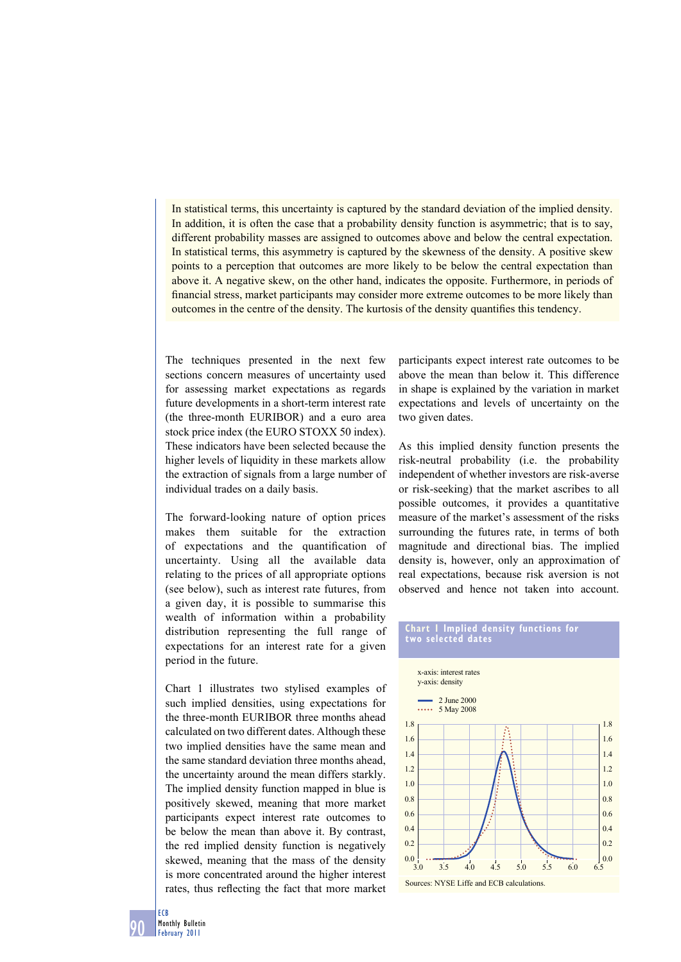In statistical terms, this uncertainty is captured by the standard deviation of the implied density. In addition, it is often the case that a probability density function is asymmetric; that is to say, different probability masses are assigned to outcomes above and below the central expectation. In statistical terms, this asymmetry is captured by the skewness of the density. A positive skew points to a perception that outcomes are more likely to be below the central expectation than above it. A negative skew, on the other hand, indicates the opposite. Furthermore, in periods of financial stress, market participants may consider more extreme outcomes to be more likely than outcomes in the centre of the density. The kurtosis of the density quantifies this tendency.

The techniques presented in the next few sections concern measures of uncertainty used for assessing market expectations as regards future developments in a short-term interest rate (the three-month EURIBOR) and a euro area stock price index (the EURO STOXX 50 index). These indicators have been selected because the higher levels of liquidity in these markets allow the extraction of signals from a large number of individual trades on a daily basis.

The forward-looking nature of option prices makes them suitable for the extraction of expectations and the quantification of uncertainty. Using all the available data relating to the prices of all appropriate options (see below), such as interest rate futures, from a given day, it is possible to summarise this wealth of information within a probability distribution representing the full range of expectations for an interest rate for a given period in the future.

Chart 1 illustrates two stylised examples of such implied densities, using expectations for the three-month EURIBOR three months ahead calculated on two different dates. Although these two implied densities have the same mean and the same standard deviation three months ahead, the uncertainty around the mean differs starkly. The implied density function mapped in blue is positively skewed, meaning that more market participants expect interest rate outcomes to be below the mean than above it. By contrast, the red implied density function is negatively skewed, meaning that the mass of the density is more concentrated around the higher interest rates, thus reflecting the fact that more market

participants expect interest rate outcomes to be above the mean than below it. This difference in shape is explained by the variation in market expectations and levels of uncertainty on the two given dates.

As this implied density function presents the risk-neutral probability (i.e. the probability independent of whether investors are risk-averse or risk-seeking) that the market ascribes to all possible outcomes, it provides a quantitative measure of the market's assessment of the risks surrounding the futures rate, in terms of both magnitude and directional bias. The implied density is, however, only an approximation of real expectations, because risk aversion is not observed and hence not taken into account.

### **Chart 1 Implied density functions for two selected dates**

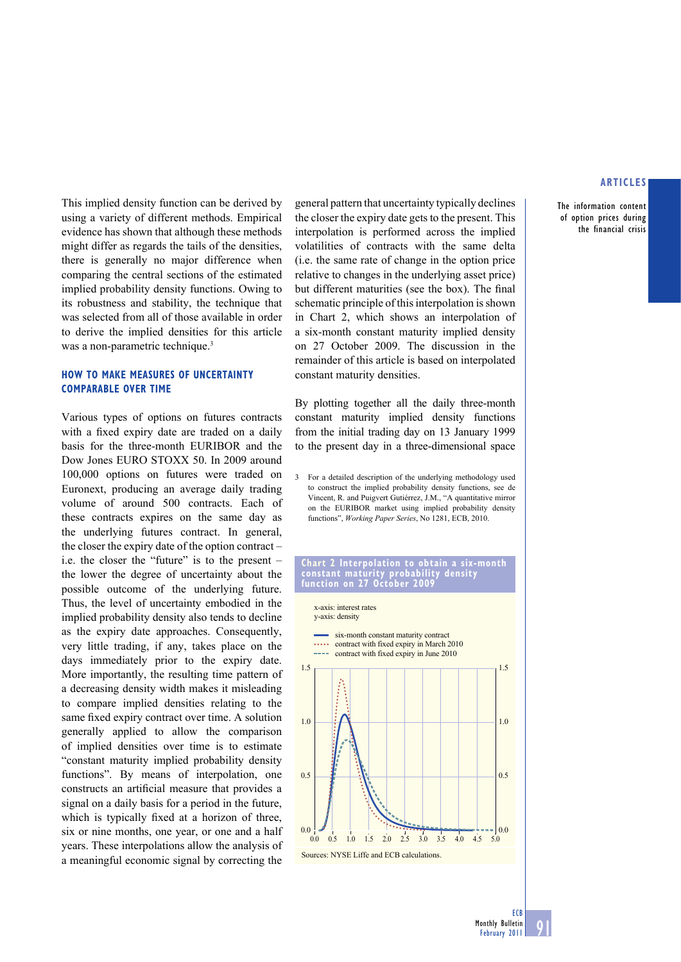The information content of option prices during the financial crisis

This implied density function can be derived by using a variety of different methods. Empirical evidence has shown that although these methods might differ as regards the tails of the densities, there is generally no major difference when comparing the central sections of the estimated implied probability density functions. Owing to its robustness and stability, the technique that was selected from all of those available in order to derive the implied densities for this article was a non-parametric technique.<sup>3</sup>

### **HOW TO MAKE MEASURES OF UNCERTAINTY COMPARABLE OVER TIME**

Various types of options on futures contracts with a fixed expiry date are traded on a daily basis for the three-month EURIBOR and the Dow Jones EURO STOXX 50. In 2009 around 100,000 options on futures were traded on Euronext, producing an average daily trading volume of around 500 contracts. Each of these contracts expires on the same day as the underlying futures contract. In general, the closer the expiry date of the option contract – i.e. the closer the "future" is to the present – the lower the degree of uncertainty about the possible outcome of the underlying future. Thus, the level of uncertainty embodied in the implied probability density also tends to decline as the expiry date approaches. Consequently, very little trading, if any, takes place on the days immediately prior to the expiry date. More importantly, the resulting time pattern of a decreasing density width makes it misleading to compare implied densities relating to the same fixed expiry contract over time. A solution generally applied to allow the comparison of implied densities over time is to estimate "constant maturity implied probability density functions". By means of interpolation, one constructs an artificial measure that provides a signal on a daily basis for a period in the future, which is typically fixed at a horizon of three, six or nine months, one year, or one and a half years. These interpolations allow the analysis of a meaningful economic signal by correcting the

general pattern that uncertainty typically declines the closer the expiry date gets to the present. This interpolation is performed across the implied volatilities of contracts with the same delta (i.e. the same rate of change in the option price relative to changes in the underlying asset price) but different maturities (see the box). The final schematic principle of this interpolation is shown in Chart 2, which shows an interpolation of a six-month constant maturity implied density on 27 October 2009. The discussion in the remainder of this article is based on interpolated constant maturity densities.

By plotting together all the daily three-month constant maturity implied density functions from the initial trading day on 13 January 1999 to the present day in a three-dimensional space

3 For a detailed description of the underlying methodology used to construct the implied probability density functions, see de Vincent, R. and Puigvert Gutiérrez, J.M., "A quantitative mirror on the EURIBOR market using implied probability density functions", *Working Paper Series*, No 1281, ECB, 2010.

#### **Chart 2 Interpolation to obtain a six-month constant maturity probability density function on 27 October 2009**



**ECB**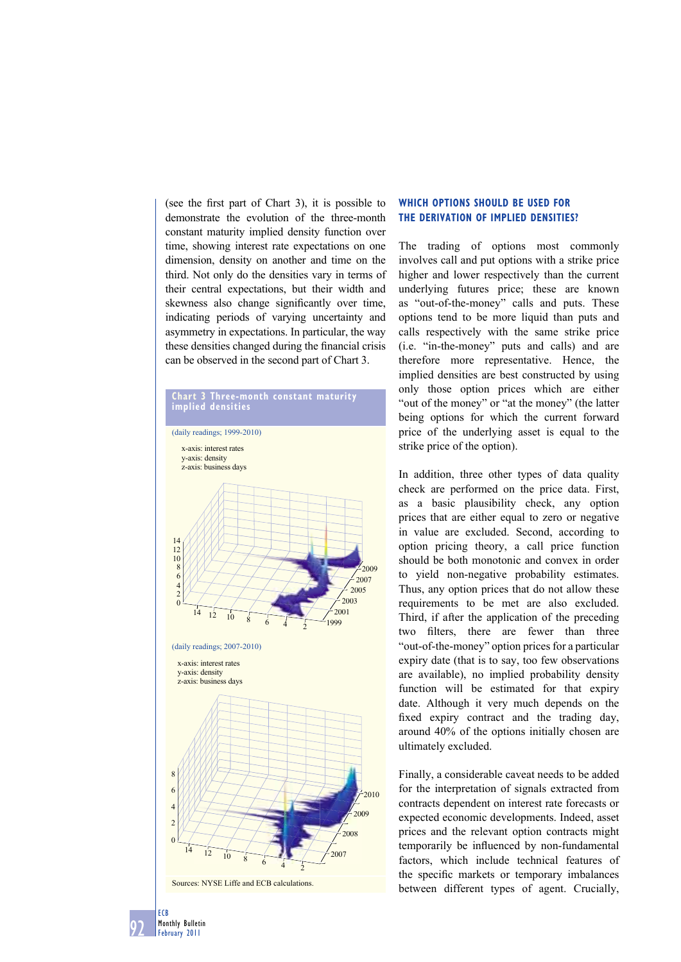(see the first part of Chart 3), it is possible to demonstrate the evolution of the three-month constant maturity implied density function over time, showing interest rate expectations on one dimension, density on another and time on the third. Not only do the densities vary in terms of their central expectations, but their width and skewness also change significantly over time, indicating periods of varying uncertainty and asymmetry in expectations. In particular, the way these densities changed during the financial crisis can be observed in the second part of Chart 3.



# **WHICH OPTIONS SHOULD BE USED FOR THE DERIVATION OF IMPLIED DENSITIES?**

The trading of options most commonly involves call and put options with a strike price higher and lower respectively than the current underlying futures price; these are known as "out-of-the-money" calls and puts. These options tend to be more liquid than puts and calls respectively with the same strike price (i.e. "in-the-money" puts and calls) and are therefore more representative. Hence, the implied densities are best constructed by using only those option prices which are either "out of the money" or "at the money" (the latter being options for which the current forward price of the underlying asset is equal to the strike price of the option).

In addition, three other types of data quality check are performed on the price data. First, as a basic plausibility check, any option prices that are either equal to zero or negative in value are excluded. Second, according to option pricing theory, a call price function should be both monotonic and convex in order to yield non-negative probability estimates. Thus, any option prices that do not allow these requirements to be met are also excluded. Third, if after the application of the preceding two filters, there are fewer than three "out-of-the-money" option prices for a particular expiry date (that is to say, too few observations are available), no implied probability density function will be estimated for that expiry date. Although it very much depends on the fixed expiry contract and the trading day, around 40% of the options initially chosen are ultimately excluded.

Finally, a considerable caveat needs to be added for the interpretation of signals extracted from contracts dependent on interest rate forecasts or expected economic developments. Indeed, asset prices and the relevant option contracts might temporarily be influenced by non-fundamental factors, which include technical features of the specific markets or temporary imbalances between different types of agent. Crucially,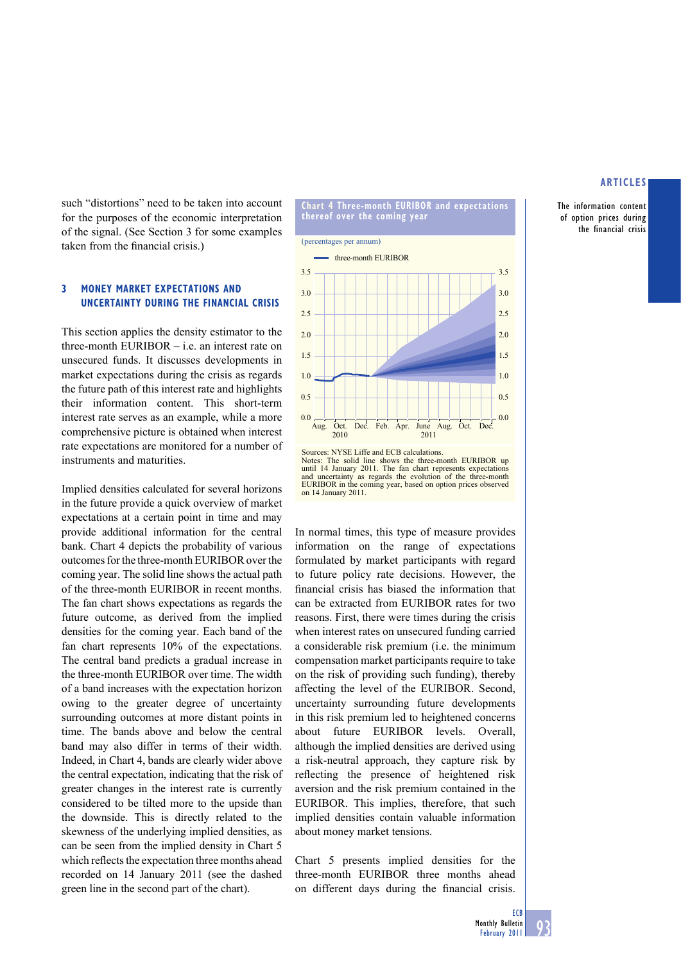The information content of option prices during the financial crisis

such "distortions" need to be taken into account for the purposes of the economic interpretation of the signal. (See Section 3 for some examples taken from the financial crisis.)

# **3 MONEY MARKET EXPECTATIONS AND UNCERTAINTY DURING THE FINANCIAL CRISIS**

This section applies the density estimator to the three-month EURIBOR – i.e. an interest rate on unsecured funds. It discusses developments in market expectations during the crisis as regards the future path of this interest rate and highlights their information content. This short-term interest rate serves as an example, while a more comprehensive picture is obtained when interest rate expectations are monitored for a number of instruments and maturities.

Implied densities calculated for several horizons in the future provide a quick overview of market expectations at a certain point in time and may provide additional information for the central bank. Chart 4 depicts the probability of various outcomes for the three-month EURIBOR over the coming year. The solid line shows the actual path of the three-month EURIBOR in recent months. The fan chart shows expectations as regards the future outcome, as derived from the implied densities for the coming year. Each band of the fan chart represents 10% of the expectations. The central band predicts a gradual increase in the three-month EURIBOR over time. The width of a band increases with the expectation horizon owing to the greater degree of uncertainty surrounding outcomes at more distant points in time. The bands above and below the central band may also differ in terms of their width. Indeed, in Chart 4, bands are clearly wider above the central expectation, indicating that the risk of greater changes in the interest rate is currently considered to be tilted more to the upside than the downside. This is directly related to the skewness of the underlying implied densities, as can be seen from the implied density in Chart 5 which reflects the expectation three months ahead recorded on 14 January 2011 (see the dashed green line in the second part of the chart).



**Chart 4 Three-month EURIBOR and expectations** 

**thereof over the coming year**



In normal times, this type of measure provides information on the range of expectations formulated by market participants with regard to future policy rate decisions. However, the financial crisis has biased the information that can be extracted from EURIBOR rates for two reasons. First, there were times during the crisis when interest rates on unsecured funding carried a considerable risk premium (i.e. the minimum compensation market participants require to take on the risk of providing such funding), thereby affecting the level of the EURIBOR. Second, uncertainty surrounding future developments in this risk premium led to heightened concerns about future EURIBOR levels. Overall, although the implied densities are derived using a risk-neutral approach, they capture risk by reflecting the presence of heightened risk aversion and the risk premium contained in the EURIBOR. This implies, therefore, that such implied densities contain valuable information about money market tensions.

Chart 5 presents implied densities for the three-month EURIBOR three months ahead on different days during the financial crisis.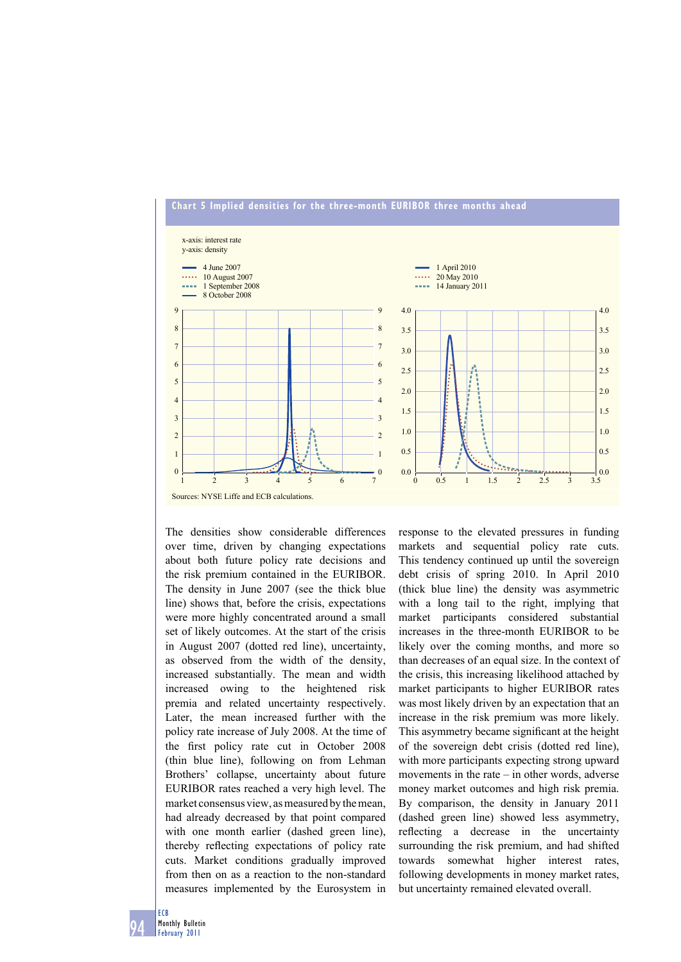

The densities show considerable differences over time, driven by changing expectations about both future policy rate decisions and the risk premium contained in the EURIBOR. The density in June 2007 (see the thick blue line) shows that, before the crisis, expectations were more highly concentrated around a small set of likely outcomes. At the start of the crisis in August 2007 (dotted red line), uncertainty, as observed from the width of the density, increased substantially. The mean and width increased owing to the heightened risk premia and related uncertainty respectively. Later, the mean increased further with the policy rate increase of July 2008. At the time of the first policy rate cut in October 2008 (thin blue line), following on from Lehman Brothers' collapse, uncertainty about future EURIBOR rates reached a very high level. The market consensus view, as measured by the mean, had already decreased by that point compared with one month earlier (dashed green line), thereby reflecting expectations of policy rate cuts. Market conditions gradually improved from then on as a reaction to the non-standard measures implemented by the Eurosystem in

response to the elevated pressures in funding markets and sequential policy rate cuts. This tendency continued up until the sovereign debt crisis of spring 2010. In April 2010 (thick blue line) the density was asymmetric with a long tail to the right, implying that market participants considered substantial increases in the three-month EURIBOR to be likely over the coming months, and more so than decreases of an equal size. In the context of the crisis, this increasing likelihood attached by market participants to higher EURIBOR rates was most likely driven by an expectation that an increase in the risk premium was more likely. This asymmetry became significant at the height of the sovereign debt crisis (dotted red line), with more participants expecting strong upward movements in the rate – in other words, adverse money market outcomes and high risk premia. By comparison, the density in January 2011 (dashed green line) showed less asymmetry, reflecting a decrease in the uncertainty surrounding the risk premium, and had shifted towards somewhat higher interest rates, following developments in money market rates, but uncertainty remained elevated overall.

94 ECB Monthly Bulletin February 2011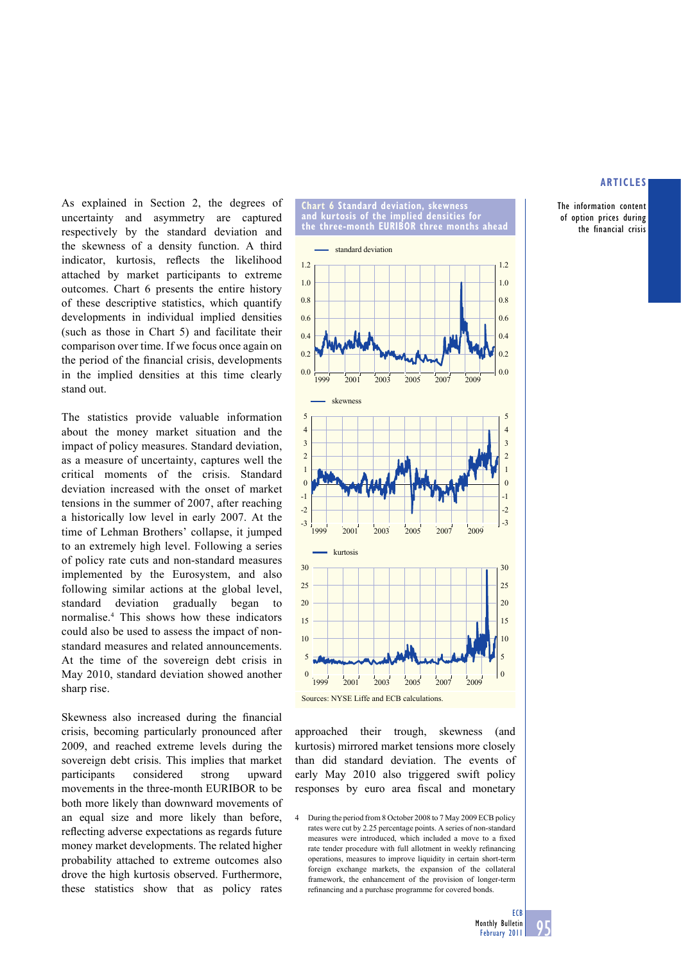The information content of option prices during the financial crisis

As explained in Section 2, the degrees of uncertainty and asymmetry are captured respectively by the standard deviation and the skewness of a density function. A third indicator, kurtosis, reflects the likelihood attached by market participants to extreme outcomes. Chart 6 presents the entire history of these descriptive statistics, which quantify developments in individual implied densities (such as those in Chart 5) and facilitate their comparison over time. If we focus once again on the period of the financial crisis, developments in the implied densities at this time clearly stand out.

The statistics provide valuable information about the money market situation and the impact of policy measures. Standard deviation, as a measure of uncertainty, captures well the critical moments of the crisis. Standard deviation increased with the onset of market tensions in the summer of 2007, after reaching a historically low level in early 2007. At the time of Lehman Brothers' collapse, it jumped to an extremely high level. Following a series of policy rate cuts and non-standard measures implemented by the Eurosystem, and also following similar actions at the global level, standard deviation gradually began to normalise.4 This shows how these indicators could also be used to assess the impact of nonstandard measures and related announcements. At the time of the sovereign debt crisis in May 2010, standard deviation showed another sharp rise.

Skewness also increased during the financial crisis, becoming particularly pronounced after 2009, and reached extreme levels during the sovereign debt crisis. This implies that market participants considered strong upward movements in the three-month EURIBOR to be both more likely than downward movements of an equal size and more likely than before, reflecting adverse expectations as regards future money market developments. The related higher probability attached to extreme outcomes also drove the high kurtosis observed. Furthermore, these statistics show that as policy rates



approached their trough, skewness (and kurtosis) mirrored market tensions more closely than did standard deviation. The events of early May 2010 also triggered swift policy responses by euro area fiscal and monetary

4 During the period from 8 October 2008 to 7 May 2009 ECB policy rates were cut by 2.25 percentage points. A series of non-standard measures were introduced, which included a move to a fixed rate tender procedure with full allotment in weekly refinancing operations, measures to improve liquidity in certain short-term foreign exchange markets, the expansion of the collateral framework, the enhancement of the provision of longer-term refinancing and a purchase programme for covered bonds.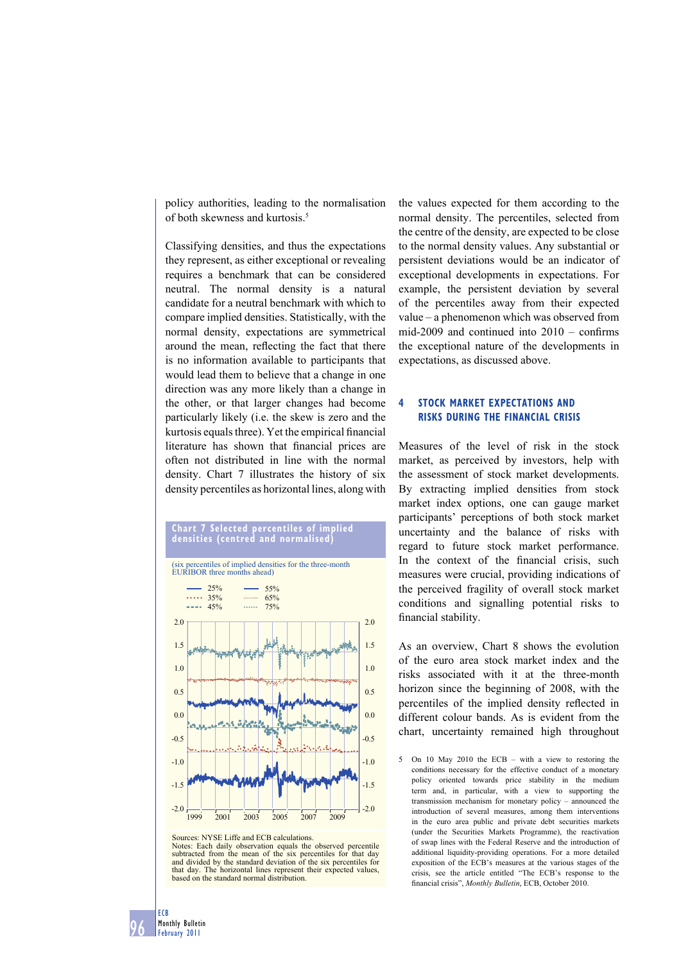policy authorities, leading to the normalisation of both skewness and kurtosis.5

Classifying densities, and thus the expectations they represent, as either exceptional or revealing requires a benchmark that can be considered neutral. The normal density is a natural candidate for a neutral benchmark with which to compare implied densities. Statistically, with the normal density, expectations are symmetrical around the mean, reflecting the fact that there is no information available to participants that would lead them to believe that a change in one direction was any more likely than a change in the other, or that larger changes had become particularly likely (i.e. the skew is zero and the kurtosis equals three). Yet the empirical financial literature has shown that financial prices are often not distributed in line with the normal density. Chart 7 illustrates the history of six density percentiles as horizontal lines, along with





Sources: NYSE Liffe and ECB calculations.

Notes: Each daily observation equals the observed percentile subtracted from the mean of the six percentiles for that day and divided by the standard deviation of the six percentiles for that day. The horizontal lines represent their expected values, based on the standard normal distribution.

the values expected for them according to the normal density. The percentiles, selected from the centre of the density, are expected to be close to the normal density values. Any substantial or persistent deviations would be an indicator of exceptional developments in expectations. For example, the persistent deviation by several of the percentiles away from their expected value – a phenomenon which was observed from mid-2009 and continued into  $2010 - \text{confirms}$ the exceptional nature of the developments in expectations, as discussed above.

# **4 STOCK MARKET EXPECTATIONS AND RISKS DURING THE FINANCIAL CRISIS**

Measures of the level of risk in the stock market, as perceived by investors, help with the assessment of stock market developments. By extracting implied densities from stock market index options, one can gauge market participants' perceptions of both stock market uncertainty and the balance of risks with regard to future stock market performance. In the context of the financial crisis, such measures were crucial, providing indications of the perceived fragility of overall stock market conditions and signalling potential risks to financial stability.

As an overview, Chart 8 shows the evolution of the euro area stock market index and the risks associated with it at the three-month horizon since the beginning of 2008, with the percentiles of the implied density reflected in different colour bands. As is evident from the chart, uncertainty remained high throughout

5 On 10 May 2010 the ECB – with a view to restoring the conditions necessary for the effective conduct of a monetary policy oriented towards price stability in the medium term and, in particular, with a view to supporting the transmission mechanism for monetary policy – announced the introduction of several measures, among them interventions in the euro area public and private debt securities markets (under the Securities Markets Programme), the reactivation of swap lines with the Federal Reserve and the introduction of additional liquidity-providing operations. For a more detailed exposition of the ECB's measures at the various stages of the crisis, see the article entitled "The ECB's response to the financial crisis", Monthly Bulletin, ECB, October 2010.

96 ECB Monthly Bulletin February 2011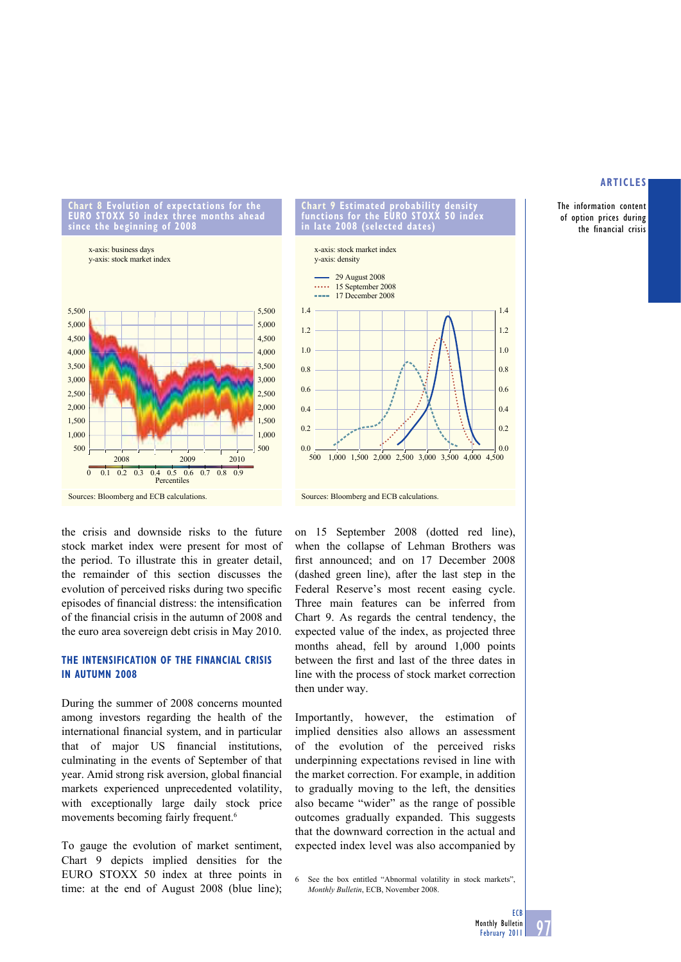The information content of option prices during the financial crisis



**Chart 8 Evolution of expectations for the EURO STOXX 50 index three months ahead** 

**since the beginning of 2008**



the crisis and downside risks to the future stock market index were present for most of the period. To illustrate this in greater detail, the remainder of this section discusses the evolution of perceived risks during two specific episodes of financial distress: the intensification of the financial crisis in the autumn of 2008 and the euro area sovereign debt crisis in May 2010.

# **THE INTENSIFICATION OF THE FINANCIAL CRISIS IN AUTUMN 2008**

During the summer of 2008 concerns mounted among investors regarding the health of the international financial system, and in particular that of major US financial institutions, culminating in the events of September of that year. Amid strong risk aversion, global financial markets experienced unprecedented volatility, with exceptionally large daily stock price movements becoming fairly frequent.<sup>6</sup>

To gauge the evolution of market sentiment, Chart 9 depicts implied densities for the EURO STOXX 50 index at three points in time: at the end of August 2008 (blue line);



**Chart 9 Estimated probability density** 

on 15 September 2008 (dotted red line), when the collapse of Lehman Brothers was first announced; and on 17 December 2008 (dashed green line), after the last step in the Federal Reserve's most recent easing cycle. Three main features can be inferred from Chart 9. As regards the central tendency, the expected value of the index, as projected three months ahead, fell by around 1,000 points between the first and last of the three dates in line with the process of stock market correction then under way.

Importantly, however, the estimation of implied densities also allows an assessment of the evolution of the perceived risks underpinning expectations revised in line with the market correction. For example, in addition to gradually moving to the left, the densities also became "wider" as the range of possible outcomes gradually expanded. This suggests that the downward correction in the actual and expected index level was also accompanied by

6 See the box entitled "Abnormal volatility in stock markets", *Monthly Bulletin*, ECB, November 2008.

Sources: Bloomberg and ECB calculations.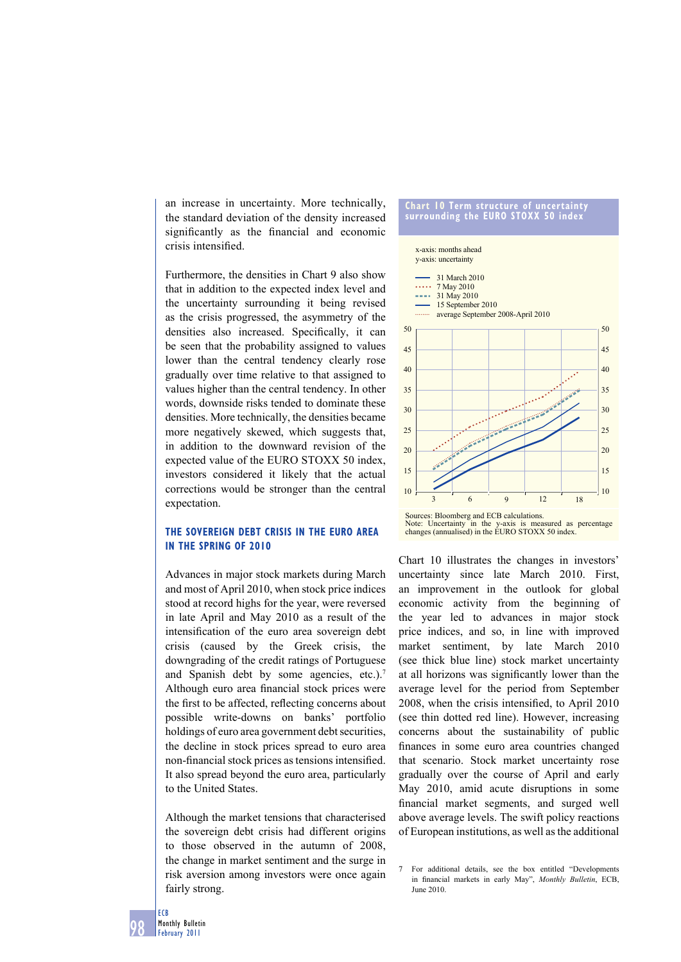an increase in uncertainty. More technically, the standard deviation of the density increased significantly as the financial and economic crisis intensified.

Furthermore, the densities in Chart 9 also show that in addition to the expected index level and the uncertainty surrounding it being revised as the crisis progressed, the asymmetry of the densities also increased. Specifically, it can be seen that the probability assigned to values lower than the central tendency clearly rose gradually over time relative to that assigned to values higher than the central tendency. In other words, downside risks tended to dominate these densities. More technically, the densities became more negatively skewed, which suggests that, in addition to the downward revision of the expected value of the EURO STOXX 50 index, investors considered it likely that the actual corrections would be stronger than the central expectation.

# **THE SOVEREIGN DEBT CRISIS IN THE EURO AREA IN THE SPRING OF 2010**

Advances in major stock markets during March and most of April 2010, when stock price indices stood at record highs for the year, were reversed in late April and May 2010 as a result of the intensification of the euro area sovereign debt crisis (caused by the Greek crisis, the downgrading of the credit ratings of Portuguese and Spanish debt by some agencies, etc.).<sup>7</sup> Although euro area financial stock prices were the first to be affected, reflecting concerns about possible write-downs on banks' portfolio holdings of euro area government debt securities, the decline in stock prices spread to euro area non-financial stock prices as tensions intensified. It also spread beyond the euro area, particularly to the United States.

Although the market tensions that characterised the sovereign debt crisis had different origins to those observed in the autumn of 2008, the change in market sentiment and the surge in risk aversion among investors were once again fairly strong.



Chart 10 illustrates the changes in investors' uncertainty since late March 2010. First, an improvement in the outlook for global economic activity from the beginning of the year led to advances in major stock price indices, and so, in line with improved market sentiment, by late March 2010 (see thick blue line) stock market uncertainty at all horizons was significantly lower than the average level for the period from September 2008, when the crisis intensified, to April 2010 (see thin dotted red line). However, increasing concerns about the sustainability of public finances in some euro area countries changed that scenario. Stock market uncertainty rose gradually over the course of April and early May 2010, amid acute disruptions in some financial market segments, and surged well above average levels. The swift policy reactions of European institutions, as well as the additional

<sup>7</sup> For additional details, see the box entitled "Developments in financial markets in early May", *Monthly Bulletin*, ECB, June 2010.